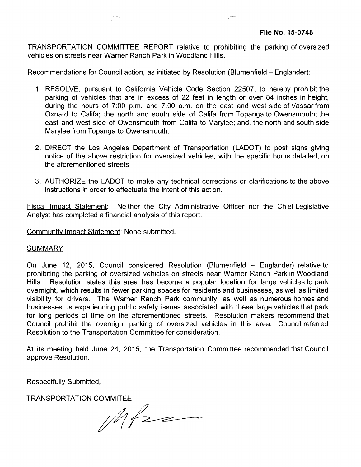TRANSPORTATION COMMITTEE REPORT relative to prohibiting the parking of oversized vehicles on streets near Warner Ranch Park in Woodland Hills.

Recommendations for Council action, as initiated by Resolution (Blumenfield - Englander):

- 1. RESOLVE, pursuant to California Vehicle Code Section 22507, to hereby prohibit the parking of vehicles that are in excess of 22 feet in length or over 84 inches in height, during the hours of 7:00 p.m. and 7:00 a.m. on the east and west side of Vassar from Oxnard to Califa; the north and south side of Califa from Topanga to Owensmouth; the east and west side of Owensmouth from Califa to Marylee; and, the north and south side Marylee from Topanga to Owensmouth.
- 2. DIRECT the Los Angeles Department of Transportation (LADOT) to post signs giving notice of the above restriction for oversized vehicles, with the specific hours detailed, on the aforementioned streets.
- 3. AUTHORIZE the LADOT to make any technical corrections or clarifications to the above instructions in order to effectuate the intent of this action.

Fiscal Impact Statement: Neither the City Administrative Officer nor the Chief Legislative Analyst has completed a financial analysis of this report.

Community Impact Statement: None submitted.

## **SUMMARY**

On June 12, 2015, Council considered Resolution (Blumenfield - Englander) relative to prohibiting the parking of oversized vehicles on streets near Warner Ranch Park in Woodland Hills. Resolution states this area has become a popular location for large vehicles to park overnight, which results in fewer parking spaces for residents and businesses, as well as limited visibility for drivers. The Warner Ranch Park community, as well as numerous homes and businesses, is experiencing public safety issues associated with these large vehicles that park for long periods of time on the aforementioned streets. Resolution makers recommend that Council prohibit the overnight parking of oversized vehicles in this area. Council referred Resolution to the Transportation Committee for consideration.

At its meeting held June 24, 2015, the Transportation Committee recommended that Council approve Resolution.

Respectfully Submitted,

TRANSPORTATION COMMITEE